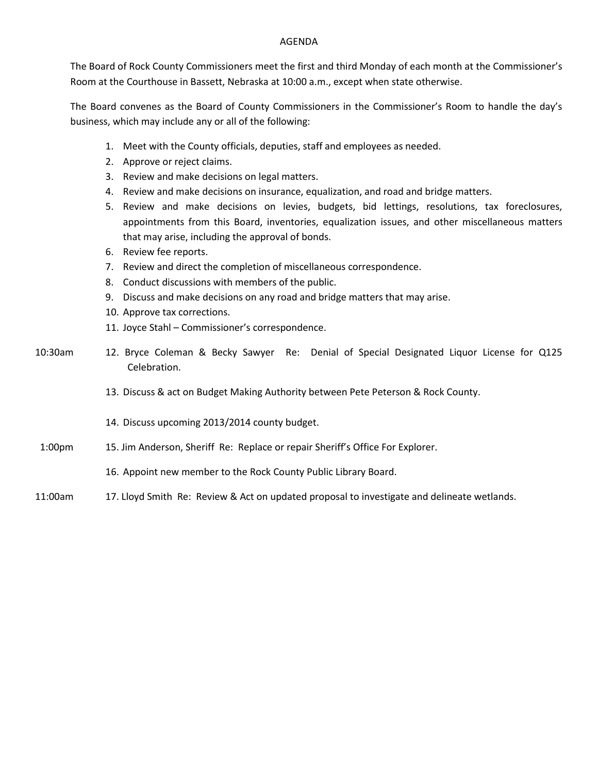## AGENDA

The Board of Rock County Commissioners meet the first and third Monday of each month at the Commissioner's Room at the Courthouse in Bassett, Nebraska at 10:00 a.m., except when state otherwise.

The Board convenes as the Board of County Commissioners in the Commissioner's Room to handle the day's business, which may include any or all of the following:

- 1. Meet with the County officials, deputies, staff and employees as needed.
- 2. Approve or reject claims.
- 3. Review and make decisions on legal matters.
- 4. Review and make decisions on insurance, equalization, and road and bridge matters.
- 5. Review and make decisions on levies, budgets, bid lettings, resolutions, tax foreclosures, appointments from this Board, inventories, equalization issues, and other miscellaneous matters that may arise, including the approval of bonds.
- 6. Review fee reports.
- 7. Review and direct the completion of miscellaneous correspondence.
- 8. Conduct discussions with members of the public.
- 9. Discuss and make decisions on any road and bridge matters that may arise.
- 10. Approve tax corrections.
- 11. Joyce Stahl Commissioner's correspondence.
- 10:30am 12. Bryce Coleman & Becky Sawyer Re: Denial of Special Designated Liquor License for Q125 Celebration.
	- 13. Discuss & act on Budget Making Authority between Pete Peterson & Rock County.
	- 14. Discuss upcoming 2013/2014 county budget.
- 1:00pm 15. Jim Anderson, Sheriff Re: Replace or repair Sheriff's Office For Explorer.
	- 16. Appoint new member to the Rock County Public Library Board.
- 11:00am 17. Lloyd Smith Re: Review & Act on updated proposal to investigate and delineate wetlands.